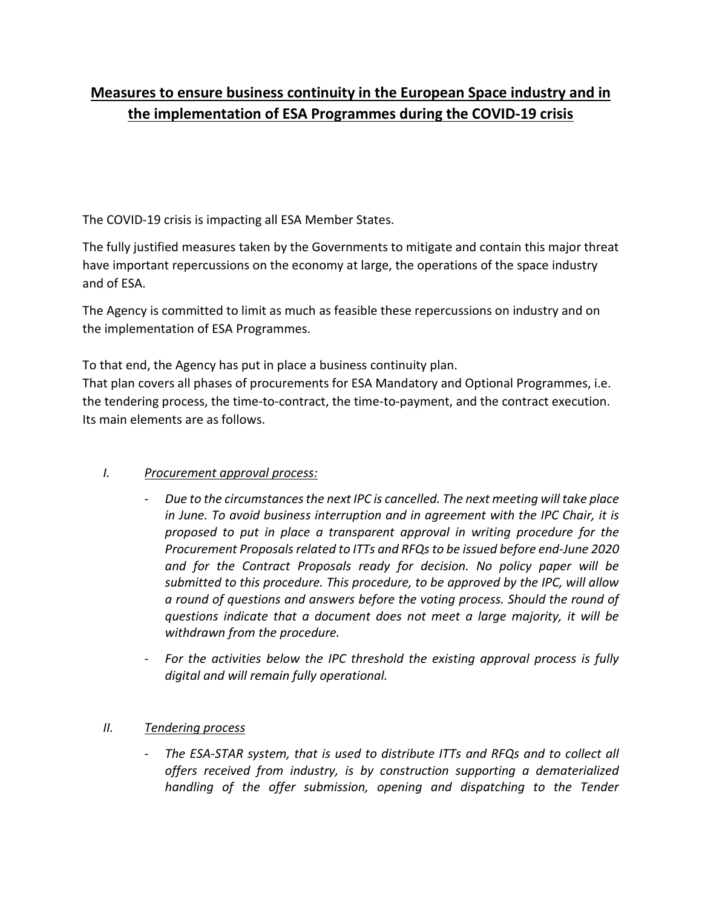# **Measures to ensure business continuity in the European Space industry and in the implementation of ESA Programmes during the COVID-19 crisis**

The COVID-19 crisis is impacting all ESA Member States.

The fully justified measures taken by the Governments to mitigate and contain this major threat have important repercussions on the economy at large, the operations of the space industry and of ESA.

The Agency is committed to limit as much as feasible these repercussions on industry and on the implementation of ESA Programmes.

To that end, the Agency has put in place a business continuity plan. That plan covers all phases of procurements for ESA Mandatory and Optional Programmes, i.e. the tendering process, the time-to-contract, the time-to-payment, and the contract execution. Its main elements are as follows.

## *I. Procurement approval process:*

- *Due to the circumstances the next IPC is cancelled. The next meeting will take place in June. To avoid business interruption and in agreement with the IPC Chair, it is proposed to put in place a transparent approval in writing procedure for the Procurement Proposals related to ITTs and RFQs to be issued before end-June 2020 and for the Contract Proposals ready for decision. No policy paper will be submitted to this procedure. This procedure, to be approved by the IPC, will allow a round of questions and answers before the voting process. Should the round of questions indicate that a document does not meet a large majority, it will be withdrawn from the procedure.*
- *For the activities below the IPC threshold the existing approval process is fully digital and will remain fully operational.*

### *II. Tendering process*

- *The ESA-STAR system, that is used to distribute ITTs and RFQs and to collect all offers received from industry, is by construction supporting a dematerialized handling of the offer submission, opening and dispatching to the Tender*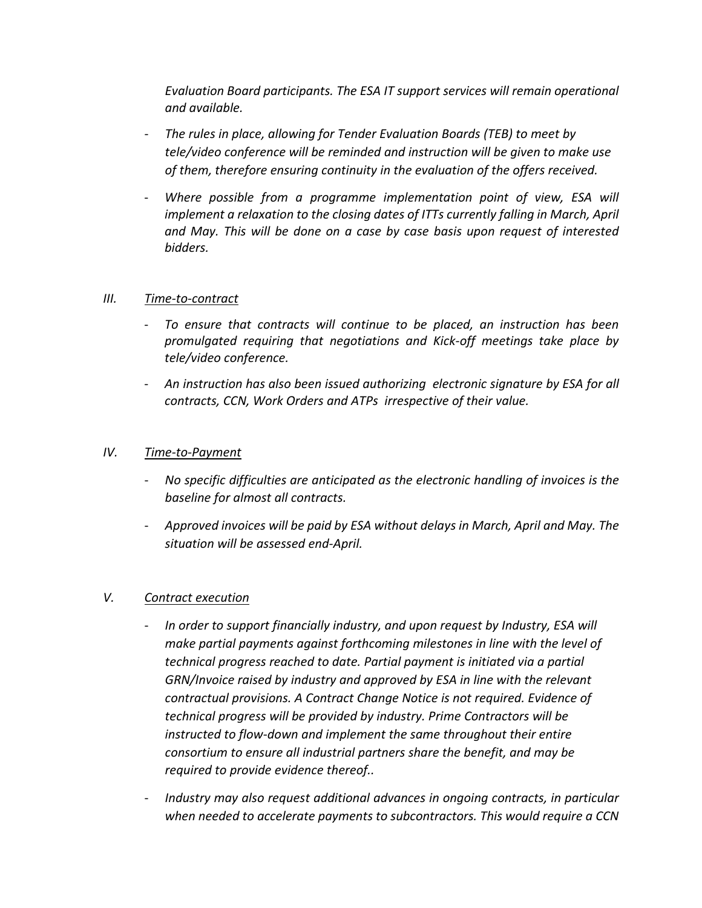*Evaluation Board participants. The ESA IT support services will remain operational and available.*

- *The rules in place, allowing for Tender Evaluation Boards (TEB) to meet by tele/video conference will be reminded and instruction will be given to make use of them, therefore ensuring continuity in the evaluation of the offers received.*
- *Where possible from a programme implementation point of view, ESA will implement a relaxation to the closing dates of ITTs currently falling in March, April and May. This will be done on a case by case basis upon request of interested bidders.*

#### *III. Time-to-contract*

- *To ensure that contracts will continue to be placed, an instruction has been promulgated requiring that negotiations and Kick-off meetings take place by tele/video conference.*
- *An instruction has also been issued authorizing electronic signature by ESA for all contracts, CCN, Work Orders and ATPs irrespective of their value.*

#### *IV. Time-to-Payment*

- *No specific difficulties are anticipated as the electronic handling of invoices is the baseline for almost all contracts.*
- *Approved invoices will be paid by ESA without delays in March, April and May. The situation will be assessed end-April.*

#### *V. Contract execution*

- *In order to support financially industry, and upon request by Industry, ESA will make partial payments against forthcoming milestones in line with the level of technical progress reached to date. Partial payment is initiated via a partial GRN/Invoice raised by industry and approved by ESA in line with the relevant contractual provisions. A Contract Change Notice is not required. Evidence of technical progress will be provided by industry. Prime Contractors will be instructed to flow-down and implement the same throughout their entire consortium to ensure all industrial partners share the benefit, and may be required to provide evidence thereof..*
- *Industry may also request additional advances in ongoing contracts, in particular when needed to accelerate payments to subcontractors. This would require a CCN*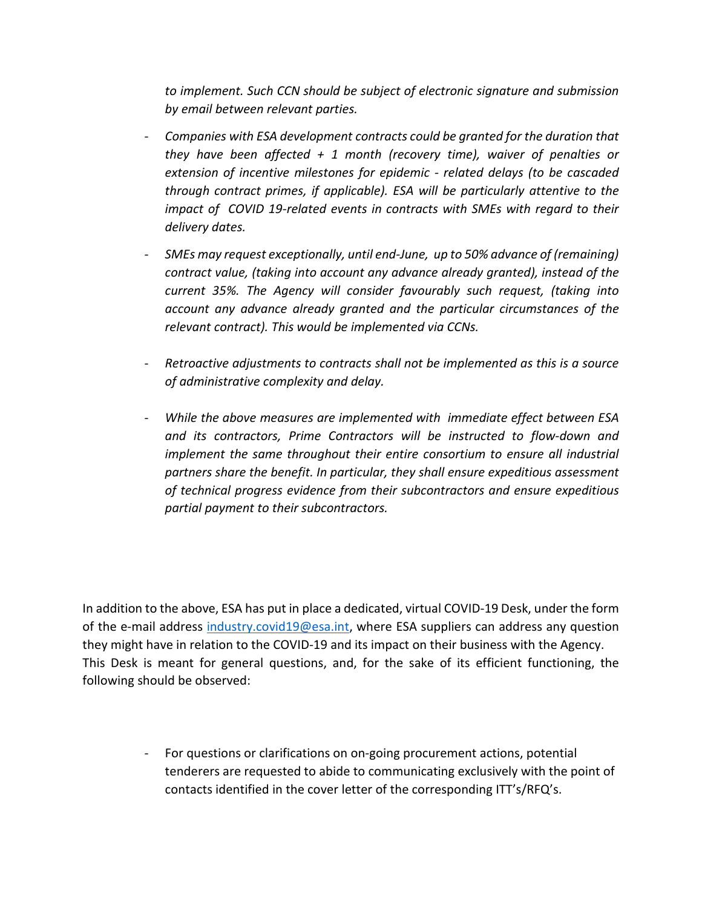*to implement. Such CCN should be subject of electronic signature and submission by email between relevant parties.*

- *Companies with ESA development contracts could be granted for the duration that they have been affected + 1 month (recovery time), waiver of penalties or extension of incentive milestones for epidemic - related delays (to be cascaded through contract primes, if applicable). ESA will be particularly attentive to the impact of COVID 19-related events in contracts with SMEs with regard to their delivery dates.*
- *SMEs may request exceptionally, until end-June, up to 50% advance of (remaining) contract value, (taking into account any advance already granted), instead of the current 35%. The Agency will consider favourably such request, (taking into account any advance already granted and the particular circumstances of the relevant contract). This would be implemented via CCNs.*
- *Retroactive adjustments to contracts shall not be implemented as this is a source of administrative complexity and delay.*
- *While the above measures are implemented with immediate effect between ESA and its contractors, Prime Contractors will be instructed to flow-down and implement the same throughout their entire consortium to ensure all industrial partners share the benefit. In particular, they shall ensure expeditious assessment of technical progress evidence from their subcontractors and ensure expeditious partial payment to their subcontractors.*

In addition to the above, ESA has put in place a dedicated, virtual COVID-19 Desk, under the form of the e-mail address [industry.covid19@esa.int,](mailto:industry.covid19@esa.int) where ESA suppliers can address any question they might have in relation to the COVID-19 and its impact on their business with the Agency. This Desk is meant for general questions, and, for the sake of its efficient functioning, the following should be observed:

> - For questions or clarifications on on-going procurement actions, potential tenderers are requested to abide to communicating exclusively with the point of contacts identified in the cover letter of the corresponding ITT's/RFQ's.